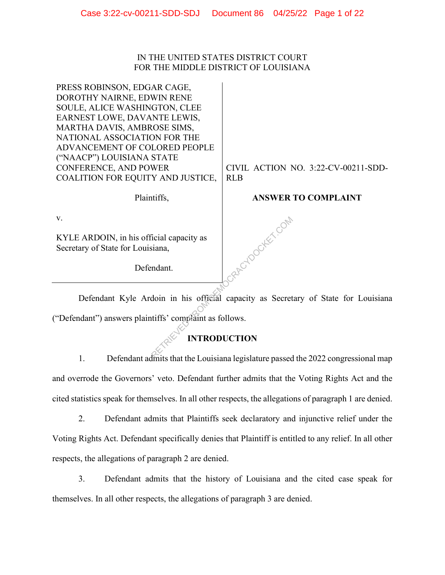## IN THE UNITED STATES DISTRICT COURT FOR THE MIDDLE DISTRICT OF LOUISIANA

PRESS ROBINSON, EDGAR CAGE, DOROTHY NAIRNE, EDWIN RENE SOULE, ALICE WASHINGTON, CLEE EARNEST LOWE, DAVANTE LEWIS, MARTHA DAVIS, AMBROSE SIMS, NATIONAL ASSOCIATION FOR THE ADVANCEMENT OF COLORED PEOPLE ("NAACP") LOUISIANA STATE CONFERENCE, AND POWER COALITION FOR EQUITY AND JUSTICE,

Plaintiffs,

CIVIL ACTION NO. 3:22-CV-00211-SDD-RLB

# **ANSWER TO COMPLAINT**

v.

KYLE ARDOIN, in his official capacity as Secretary of State for Louisiana,

Defendant.

 Defendant Kyle Ardoin in his official capacity as Secretary of State for Louisiana ("Defendant") answers plaintiffs' complaint as follows.

**RACYDOCKET.COM** 

# **INTRODUCTION**

1. Defendant admits that the Louisiana legislature passed the 2022 congressional map and overrode the Governors' veto. Defendant further admits that the Voting Rights Act and the cited statistics speak for themselves. In all other respects, the allegations of paragraph 1 are denied.

2. Defendant admits that Plaintiffs seek declaratory and injunctive relief under the Voting Rights Act. Defendant specifically denies that Plaintiff is entitled to any relief. In all other

respects, the allegations of paragraph 2 are denied.

3. Defendant admits that the history of Louisiana and the cited case speak for themselves. In all other respects, the allegations of paragraph 3 are denied.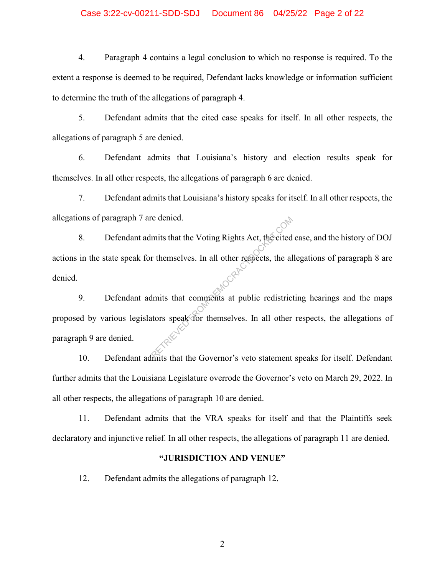## Case 3:22-cv-00211-SDD-SDJ Document 86 04/25/22 Page 2 of 22

4. Paragraph 4 contains a legal conclusion to which no response is required. To the extent a response is deemed to be required, Defendant lacks knowledge or information sufficient to determine the truth of the allegations of paragraph 4.

5. Defendant admits that the cited case speaks for itself. In all other respects, the allegations of paragraph 5 are denied.

6. Defendant admits that Louisiana's history and election results speak for themselves. In all other respects, the allegations of paragraph 6 are denied.

7. Defendant admits that Louisiana's history speaks for itself. In all other respects, the allegations of paragraph 7 are denied.

8. Defendant admits that the Voting Rights Act, the cited case, and the history of DOJ actions in the state speak for themselves. In all other respects, the allegations of paragraph 8 are denied. re denied.<br>
mits that the Voting Rights Act, the cited<br>
reflected<br>
the mits that comments at public redistrict<br>
during that the Governor's vete statement

9. Defendant admits that comments at public redistricting hearings and the maps proposed by various legislators speak for themselves. In all other respects, the allegations of paragraph 9 are denied.

10. Defendant admits that the Governor's veto statement speaks for itself. Defendant further admits that the Louisiana Legislature overrode the Governor's veto on March 29, 2022. In all other respects, the allegations of paragraph 10 are denied.

11. Defendant admits that the VRA speaks for itself and that the Plaintiffs seek declaratory and injunctive relief. In all other respects, the allegations of paragraph 11 are denied.

#### **"JURISDICTION AND VENUE"**

12. Defendant admits the allegations of paragraph 12.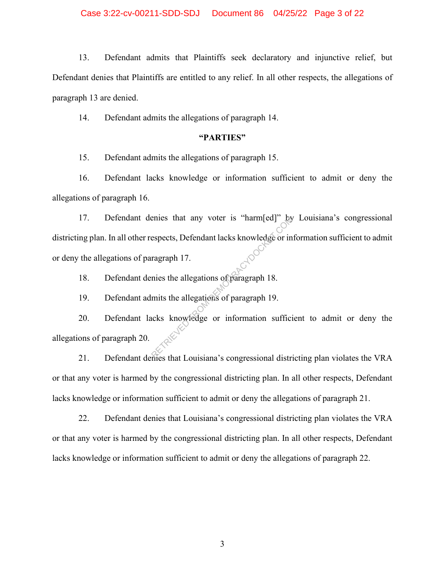13. Defendant admits that Plaintiffs seek declaratory and injunctive relief, but Defendant denies that Plaintiffs are entitled to any relief. In all other respects, the allegations of paragraph 13 are denied.

14. Defendant admits the allegations of paragraph 14.

## **"PARTIES"**

15. Defendant admits the allegations of paragraph 15.

16. Defendant lacks knowledge or information sufficient to admit or deny the allegations of paragraph 16.

17. Defendant denies that any voter is "harm[ed]" by Louisiana's congressional districting plan. In all other respects, Defendant lacks knowledge or information sufficient to admit or deny the allegations of paragraph 17. Expects, Defendant lacks knowledge or in<br>ragraph 17.<br>mies the allegations of paragraph 18.<br>mits the allegations of paragraph 19.<br>licks knowledge or information suffici

18. Defendant denies the allegations of paragraph 18.

19. Defendant admits the allegations of paragraph 19.

20. Defendant lacks knowledge or information sufficient to admit or deny the allegations of paragraph 20.

21. Defendant denies that Louisiana's congressional districting plan violates the VRA or that any voter is harmed by the congressional districting plan. In all other respects, Defendant lacks knowledge or information sufficient to admit or deny the allegations of paragraph 21.

22. Defendant denies that Louisiana's congressional districting plan violates the VRA or that any voter is harmed by the congressional districting plan. In all other respects, Defendant lacks knowledge or information sufficient to admit or deny the allegations of paragraph 22.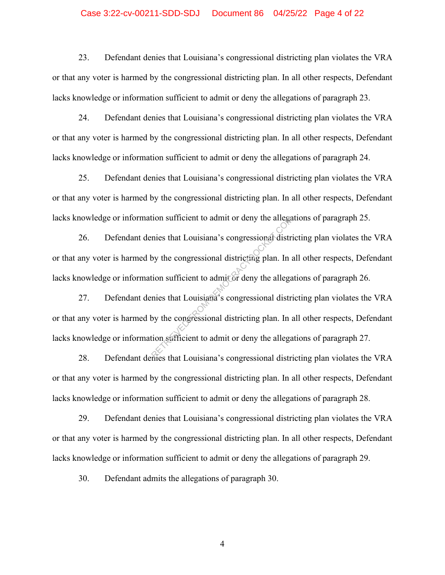## Case 3:22-cv-00211-SDD-SDJ Document 86 04/25/22 Page 4 of 22

23. Defendant denies that Louisiana's congressional districting plan violates the VRA or that any voter is harmed by the congressional districting plan. In all other respects, Defendant lacks knowledge or information sufficient to admit or deny the allegations of paragraph 23.

24. Defendant denies that Louisiana's congressional districting plan violates the VRA or that any voter is harmed by the congressional districting plan. In all other respects, Defendant lacks knowledge or information sufficient to admit or deny the allegations of paragraph 24.

25. Defendant denies that Louisiana's congressional districting plan violates the VRA or that any voter is harmed by the congressional districting plan. In all other respects, Defendant lacks knowledge or information sufficient to admit or deny the allegations of paragraph 25.

26. Defendant denies that Louisiana's congressional districting plan violates the VRA or that any voter is harmed by the congressional districting plan. In all other respects, Defendant lacks knowledge or information sufficient to admit or deny the allegations of paragraph 26. The sufficient to admit or deny the allegations that Louisiana's congressional districting plan. In a tion sufficient to admit or deny the allegations that Louisiana's congressional districting plan. In a tion sufficient t

27. Defendant denies that Louisiana's congressional districting plan violates the VRA or that any voter is harmed by the congressional districting plan. In all other respects, Defendant lacks knowledge or information sufficient to admit or deny the allegations of paragraph 27.

28. Defendant denies that Louisiana's congressional districting plan violates the VRA or that any voter is harmed by the congressional districting plan. In all other respects, Defendant lacks knowledge or information sufficient to admit or deny the allegations of paragraph 28.

29. Defendant denies that Louisiana's congressional districting plan violates the VRA or that any voter is harmed by the congressional districting plan. In all other respects, Defendant lacks knowledge or information sufficient to admit or deny the allegations of paragraph 29.

30. Defendant admits the allegations of paragraph 30.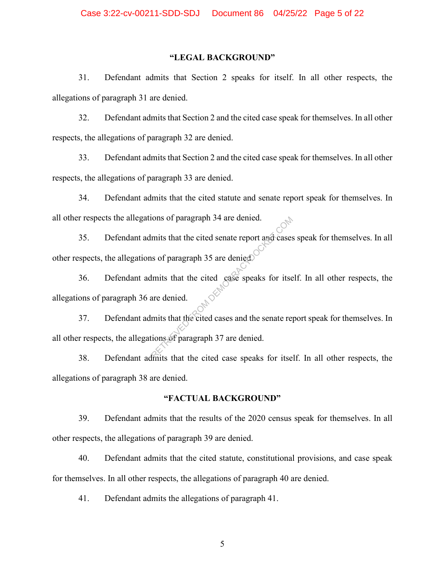## **"LEGAL BACKGROUND"**

31. Defendant admits that Section 2 speaks for itself. In all other respects, the allegations of paragraph 31 are denied.

32. Defendant admits that Section 2 and the cited case speak for themselves. In all other respects, the allegations of paragraph 32 are denied.

33. Defendant admits that Section 2 and the cited case speak for themselves. In all other respects, the allegations of paragraph 33 are denied.

34. Defendant admits that the cited statute and senate report speak for themselves. In all other respects the allegations of paragraph 34 are denied.

35. Defendant admits that the cited senate report and cases speak for themselves. In all other respects, the allegations of paragraph 35 are denied.

36. Defendant admits that the cited case speaks for itself. In all other respects, the allegations of paragraph 36 are denied.

37. Defendant admits that the cited cases and the senate report speak for themselves. In all other respects, the allegations of paragraph 37 are denied. From the state of the cited senate report and cases<br>
In this that the cited senate report and cases<br>
In this that the cited cases and the senate report<br>
ints that the cited cases and the senate reports<br>
ints that the cited

38. Defendant admits that the cited case speaks for itself. In all other respects, the allegations of paragraph 38 are denied.

#### **"FACTUAL BACKGROUND"**

39. Defendant admits that the results of the 2020 census speak for themselves. In all other respects, the allegations of paragraph 39 are denied.

40. Defendant admits that the cited statute, constitutional provisions, and case speak for themselves. In all other respects, the allegations of paragraph 40 are denied.

41. Defendant admits the allegations of paragraph 41.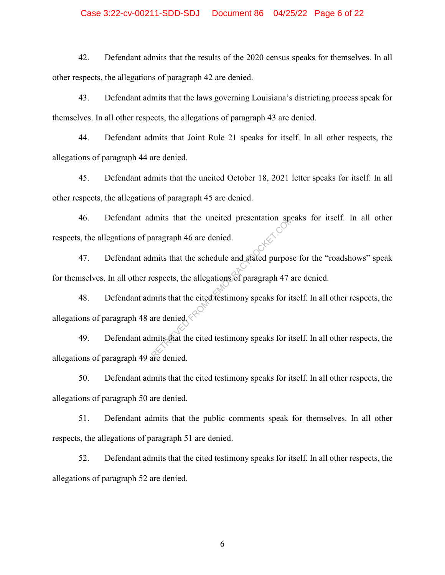## Case 3:22-cv-00211-SDD-SDJ Document 86 04/25/22 Page 6 of 22

42. Defendant admits that the results of the 2020 census speaks for themselves. In all other respects, the allegations of paragraph 42 are denied.

43. Defendant admits that the laws governing Louisiana's districting process speak for themselves. In all other respects, the allegations of paragraph 43 are denied.

44. Defendant admits that Joint Rule 21 speaks for itself. In all other respects, the allegations of paragraph 44 are denied.

45. Defendant admits that the uncited October 18, 2021 letter speaks for itself. In all other respects, the allegations of paragraph 45 are denied.

46. Defendant admits that the uncited presentation speaks for itself. In all other respects, the allegations of paragraph 46 are denied.

47. Defendant admits that the schedule and stated purpose for the "roadshows" speak for themselves. In all other respects, the allegations of paragraph 47 are denied. the uncited presentation specifies are denied.<br>
The area denied.<br>
The series of paragraph 47 and the schedule and stated purpos<br>
espects, the allegations of paragraph 47 and that the cited testimony speaks for it<br>
are deni

48. Defendant admits that the cited testimony speaks for itself. In all other respects, the allegations of paragraph 48 are denied.

49. Defendant admits that the cited testimony speaks for itself. In all other respects, the allegations of paragraph 49 are denied.

50. Defendant admits that the cited testimony speaks for itself. In all other respects, the allegations of paragraph 50 are denied.

51. Defendant admits that the public comments speak for themselves. In all other respects, the allegations of paragraph 51 are denied.

52. Defendant admits that the cited testimony speaks for itself. In all other respects, the allegations of paragraph 52 are denied.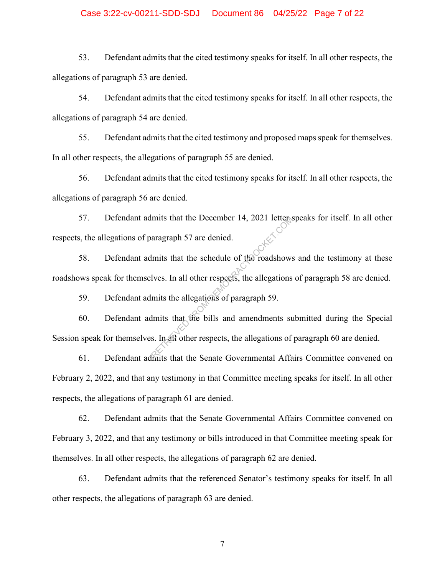## Case 3:22-cv-00211-SDD-SDJ Document 86 04/25/22 Page 7 of 22

53. Defendant admits that the cited testimony speaks for itself. In all other respects, the allegations of paragraph 53 are denied.

54. Defendant admits that the cited testimony speaks for itself. In all other respects, the allegations of paragraph 54 are denied.

55. Defendant admits that the cited testimony and proposed maps speak for themselves. In all other respects, the allegations of paragraph 55 are denied.

56. Defendant admits that the cited testimony speaks for itself. In all other respects, the allegations of paragraph 56 are denied.

57. Defendant admits that the December 14, 2021 letter speaks for itself. In all other respects, the allegations of paragraph 57 are denied.

58. Defendant admits that the schedule of the roadshows and the testimony at these roadshows speak for themselves. In all other respects, the allegations of paragraph 58 are denied. mits that the December 14, 2021 letters<br>aragraph 57 are denied.<br>Imits that the schedule of the roadshows<br>lves. In all other respects, the allegations<br>mits the allegations of paragraph 59.<br>Imits that the bills and amendment

59. Defendant admits the allegations of paragraph 59.

60. Defendant admits that the bills and amendments submitted during the Special Session speak for themselves. In all other respects, the allegations of paragraph 60 are denied.

61. Defendant admits that the Senate Governmental Affairs Committee convened on February 2, 2022, and that any testimony in that Committee meeting speaks for itself. In all other respects, the allegations of paragraph 61 are denied.

62. Defendant admits that the Senate Governmental Affairs Committee convened on February 3, 2022, and that any testimony or bills introduced in that Committee meeting speak for themselves. In all other respects, the allegations of paragraph 62 are denied.

63. Defendant admits that the referenced Senator's testimony speaks for itself. In all other respects, the allegations of paragraph 63 are denied.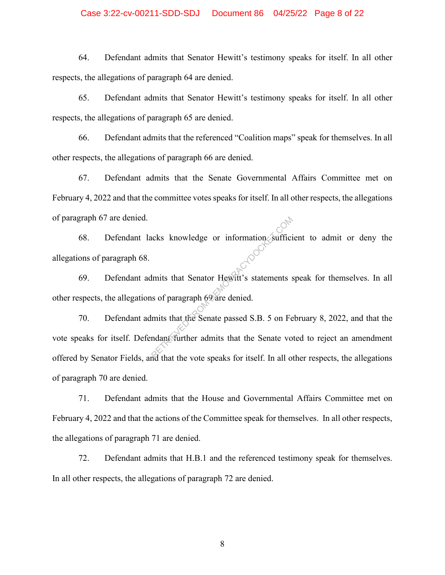## Case 3:22-cv-00211-SDD-SDJ Document 86 04/25/22 Page 8 of 22

64. Defendant admits that Senator Hewitt's testimony speaks for itself. In all other respects, the allegations of paragraph 64 are denied.

65. Defendant admits that Senator Hewitt's testimony speaks for itself. In all other respects, the allegations of paragraph 65 are denied.

66. Defendant admits that the referenced "Coalition maps" speak for themselves. In all other respects, the allegations of paragraph 66 are denied.

67. Defendant admits that the Senate Governmental Affairs Committee met on February 4, 2022 and that the committee votes speaks for itself. In all other respects, the allegations of paragraph 67 are denied.

68. Defendant lacks knowledge or information sufficient to admit or deny the allegations of paragraph 68.

69. Defendant admits that Senator Hewitt's statements speak for themselves. In all other respects, the allegations of paragraph 69 are denied.

70. Defendant admits that the Senate passed S.B. 5 on February 8, 2022, and that the vote speaks for itself. Defendant further admits that the Senate voted to reject an amendment offered by Senator Fields, and that the vote speaks for itself. In all other respects, the allegations of paragraph 70 are denied. TRIET STATES IN the Senator Health's statements of paragraph 69 are denied.<br>
This that the Senate passed S.B. 5 on Fe<br>
Reported that the Senate passed S.B. 5 on Fe<br>
Reported that the verte modes for itself. In all of

71. Defendant admits that the House and Governmental Affairs Committee met on February 4, 2022 and that the actions of the Committee speak for themselves. In all other respects, the allegations of paragraph 71 are denied.

72. Defendant admits that H.B.1 and the referenced testimony speak for themselves. In all other respects, the allegations of paragraph 72 are denied.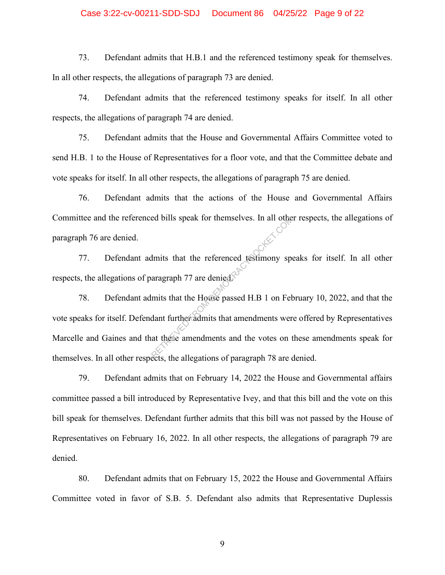## Case 3:22-cv-00211-SDD-SDJ Document 86 04/25/22 Page 9 of 22

73. Defendant admits that H.B.1 and the referenced testimony speak for themselves. In all other respects, the allegations of paragraph 73 are denied.

74. Defendant admits that the referenced testimony speaks for itself. In all other respects, the allegations of paragraph 74 are denied.

75. Defendant admits that the House and Governmental Affairs Committee voted to send H.B. 1 to the House of Representatives for a floor vote, and that the Committee debate and vote speaks for itself. In all other respects, the allegations of paragraph 75 are denied.

76. Defendant admits that the actions of the House and Governmental Affairs Committee and the referenced bills speak for themselves. In all other respects, the allegations of paragraph 76 are denied.

77. Defendant admits that the referenced testimony speaks for itself. In all other respects, the allegations of paragraph 77 are denied.

78. Defendant admits that the House passed H.B 1 on February 10, 2022, and that the vote speaks for itself. Defendant further admits that amendments were offered by Representatives Marcelle and Gaines and that these amendments and the votes on these amendments speak for themselves. In all other respects, the allegations of paragraph 78 are denied. ed bills speak for themselves. In all other<br>
Imits that the referenced testimony spearagraph 77 are denied<br>
mits that the House passed H.B 1 on February<br>
dant further admits that amendments were at these amendments and the

79. Defendant admits that on February 14, 2022 the House and Governmental affairs committee passed a bill introduced by Representative Ivey, and that this bill and the vote on this bill speak for themselves. Defendant further admits that this bill was not passed by the House of Representatives on February 16, 2022. In all other respects, the allegations of paragraph 79 are denied.

80. Defendant admits that on February 15, 2022 the House and Governmental Affairs Committee voted in favor of S.B. 5. Defendant also admits that Representative Duplessis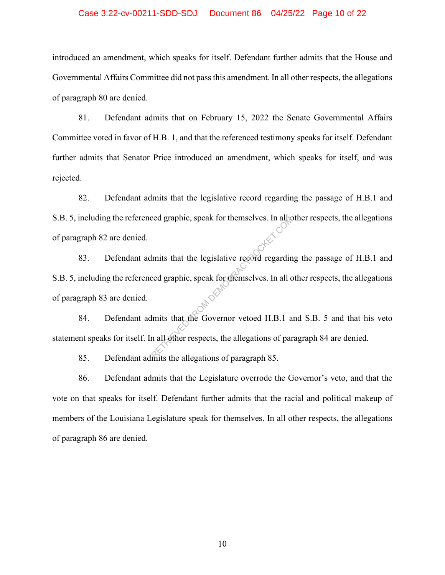## Case 3:22-cv-00211-SDD-SDJ Document 86 04/25/22 Page 10 of 22

introduced an amendment, which speaks for itself. Defendant further admits that the House and Governmental Affairs Committee did not pass this amendment. In all other respects, the allegations of paragraph 80 are denied.

81. Defendant admits that on February 15, 2022 the Senate Governmental Affairs Committee voted in favor of H.B. 1, and that the referenced testimony speaks for itself. Defendant further admits that Senator Price introduced an amendment, which speaks for itself, and was rejected.

82. Defendant admits that the legislative record regarding the passage of H.B.1 and S.B. 5, including the referenced graphic, speak for themselves. In all other respects, the allegations of paragraph 82 are denied.

83. Defendant admits that the legislative record regarding the passage of H.B.1 and S.B. 5, including the referenced graphic, speak for themselves. In all other respects, the allegations of paragraph 83 are denied. 84. Defendant admits that the Governor vetoed H.B.1 and S.B. 5 and that his veto red graphic, speak for themselves. In all we<br>
lmits that the legislative record regardin<br>
red graphic, speak for themselves. In all c<br>
lmits that the Governor vetoed H.B.1 a<br>
in all other respects, the allegations of parti

statement speaks for itself. In all other respects, the allegations of paragraph 84 are denied.

85. Defendant admits the allegations of paragraph 85.

86. Defendant admits that the Legislature overrode the Governor's veto, and that the vote on that speaks for itself. Defendant further admits that the racial and political makeup of members of the Louisiana Legislature speak for themselves. In all other respects, the allegations of paragraph 86 are denied.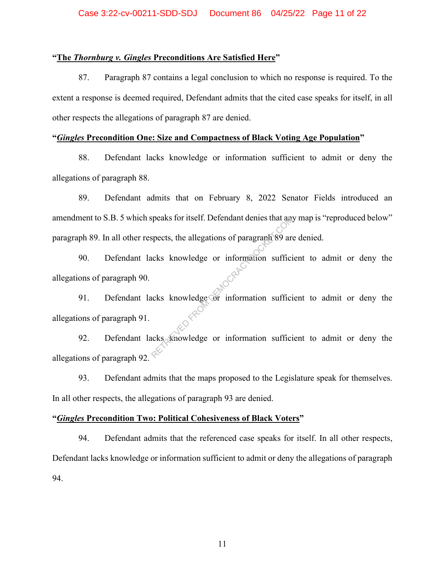## **"The** *Thornburg v. Gingles* **Preconditions Are Satisfied Here"**

87. Paragraph 87 contains a legal conclusion to which no response is required. To the extent a response is deemed required, Defendant admits that the cited case speaks for itself, in all other respects the allegations of paragraph 87 are denied.

## **"***Gingles* **Precondition One: Size and Compactness of Black Voting Age Population"**

88. Defendant lacks knowledge or information sufficient to admit or deny the allegations of paragraph 88.

89. Defendant admits that on February 8, 2022 Senator Fields introduced an amendment to S.B. 5 which speaks for itself. Defendant denies that any map is "reproduced below" paragraph 89. In all other respects, the allegations of paragraph 89 are denied.

90. Defendant lacks knowledge or information sufficient to admit or deny the allegations of paragraph 90. Speaks for itself. Detendant denies that any<br>spects, the allegations of paragraph 89 and<br>icks knowledge or information sufficients<br>the subset of information sufficients<br>the subset of information sufficients

91. Defendant lacks knowledge or information sufficient to admit or deny the allegations of paragraph 91.

92. Defendant lacks knowledge or information sufficient to admit or deny the allegations of paragraph 92.

93. Defendant admits that the maps proposed to the Legislature speak for themselves. In all other respects, the allegations of paragraph 93 are denied.

## **"***Gingles* **Precondition Two: Political Cohesiveness of Black Voters"**

94. Defendant admits that the referenced case speaks for itself. In all other respects, Defendant lacks knowledge or information sufficient to admit or deny the allegations of paragraph 94.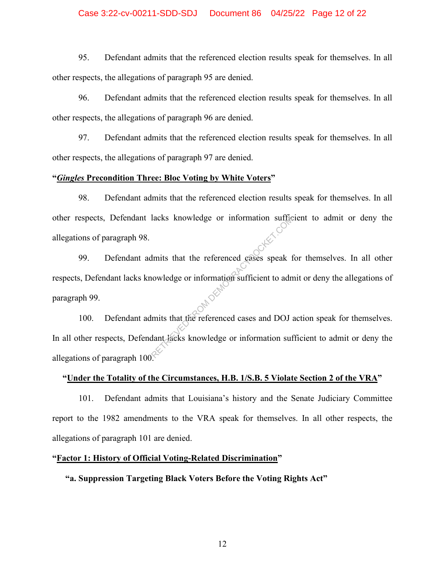## Case 3:22-cv-00211-SDD-SDJ Document 86 04/25/22 Page 12 of 22

95. Defendant admits that the referenced election results speak for themselves. In all other respects, the allegations of paragraph 95 are denied.

96. Defendant admits that the referenced election results speak for themselves. In all other respects, the allegations of paragraph 96 are denied.

97. Defendant admits that the referenced election results speak for themselves. In all other respects, the allegations of paragraph 97 are denied.

## **"***Gingles* **Precondition Three: Bloc Voting by White Voters"**

98. Defendant admits that the referenced election results speak for themselves. In all other respects, Defendant lacks knowledge or information sufficient to admit or deny the allegations of paragraph 98.

99. Defendant admits that the referenced cases speak for themselves. In all other respects, Defendant lacks knowledge or information sufficient to admit or deny the allegations of paragraph 99. 100. Defendant admits that the referenced cases and DOJ action speak for themselves. FROM DEATH AND MUNICIPALITY OF THE MANUSCRIPT OF THE MUNICIPALITY OF THE MONOGRAPH OF THE MOVED OF THE MOVED OF THE MANUSCRIPT OF THE MANUSCRIPT OF THE MANUSCRIPT OF THE MANUSCRIPT OF THE MANUSCRIPT OF THE MANUSCRIPT OF TH

In all other respects, Defendant lacks knowledge or information sufficient to admit or deny the allegations of paragraph 100.

#### **"Under the Totality of the Circumstances, H.B. 1/S.B. 5 Violate Section 2 of the VRA"**

101. Defendant admits that Louisiana's history and the Senate Judiciary Committee report to the 1982 amendments to the VRA speak for themselves. In all other respects, the allegations of paragraph 101 are denied.

#### **"Factor 1: History of Official Voting-Related Discrimination"**

## **"a. Suppression Targeting Black Voters Before the Voting Rights Act"**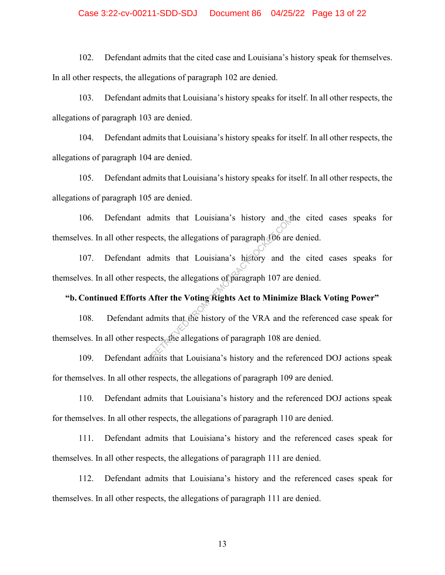## Case 3:22-cv-00211-SDD-SDJ Document 86 04/25/22 Page 13 of 22

102. Defendant admits that the cited case and Louisiana's history speak for themselves. In all other respects, the allegations of paragraph 102 are denied.

103. Defendant admits that Louisiana's history speaks for itself. In all other respects, the allegations of paragraph 103 are denied.

104. Defendant admits that Louisiana's history speaks for itself. In all other respects, the allegations of paragraph 104 are denied.

105. Defendant admits that Louisiana's history speaks for itself. In all other respects, the allegations of paragraph 105 are denied.

106. Defendant admits that Louisiana's history and the cited cases speaks for themselves. In all other respects, the allegations of paragraph 106 are denied.

107. Defendant admits that Louisiana's history and the cited cases speaks for themselves. In all other respects, the allegations of paragraph 107 are denied.

## **"b. Continued Efforts After the Voting Rights Act to Minimize Black Voting Power"**

108. Defendant admits that the history of the VRA and the referenced case speak for themselves. In all other respects, the allegations of paragraph 108 are denied. dmits that Louisiana's history and the<br>ects, the allegations of paragraph 106 are<br>dmits that Louisiana's history and the<br>ects, the allegations of paragraph 107 are<br>after the Voting Rights Act to Minimiz<br>dmits that the hist

109. Defendant admits that Louisiana's history and the referenced DOJ actions speak for themselves. In all other respects, the allegations of paragraph 109 are denied.

110. Defendant admits that Louisiana's history and the referenced DOJ actions speak for themselves. In all other respects, the allegations of paragraph 110 are denied.

111. Defendant admits that Louisiana's history and the referenced cases speak for themselves. In all other respects, the allegations of paragraph 111 are denied.

112. Defendant admits that Louisiana's history and the referenced cases speak for themselves. In all other respects, the allegations of paragraph 111 are denied.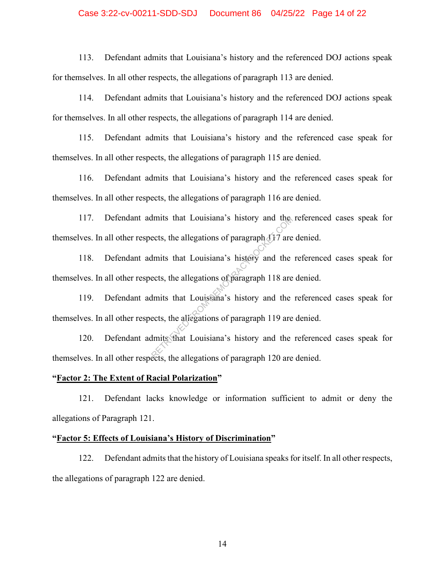## Case 3:22-cv-00211-SDD-SDJ Document 86 04/25/22 Page 14 of 22

113. Defendant admits that Louisiana's history and the referenced DOJ actions speak for themselves. In all other respects, the allegations of paragraph 113 are denied.

114. Defendant admits that Louisiana's history and the referenced DOJ actions speak for themselves. In all other respects, the allegations of paragraph 114 are denied.

115. Defendant admits that Louisiana's history and the referenced case speak for themselves. In all other respects, the allegations of paragraph 115 are denied.

116. Defendant admits that Louisiana's history and the referenced cases speak for themselves. In all other respects, the allegations of paragraph 116 are denied.

117. Defendant admits that Louisiana's history and the referenced cases speak for themselves. In all other respects, the allegations of paragraph  $417$  are denied.

118. Defendant admits that Louisiana's history and the referenced cases speak for themselves. In all other respects, the allegations of paragraph 118 are denied. Imits that Louisiana's history and the<br>ects, the allegations of paragraph 117 are<br>lmits that Louisiana's history and the<br>ects, the allegations of paragraph 118 are<br>ects, the allegations of paragraph 119 are<br>lmits that Loui

119. Defendant admits that Louisiana's history and the referenced cases speak for themselves. In all other respects, the allegations of paragraph 119 are denied.

120. Defendant admits that Louisiana's history and the referenced cases speak for themselves. In all other respects, the allegations of paragraph 120 are denied.

## **"Factor 2: The Extent of Racial Polarization"**

121. Defendant lacks knowledge or information sufficient to admit or deny the allegations of Paragraph 121.

#### **"Factor 5: Effects of Louisiana's History of Discrimination"**

122. Defendant admits that the history of Louisiana speaks for itself. In all other respects, the allegations of paragraph 122 are denied.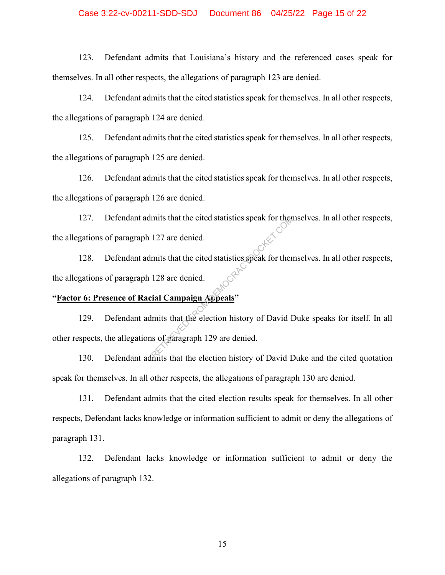## Case 3:22-cv-00211-SDD-SDJ Document 86 04/25/22 Page 15 of 22

123. Defendant admits that Louisiana's history and the referenced cases speak for themselves. In all other respects, the allegations of paragraph 123 are denied.

124. Defendant admits that the cited statistics speak for themselves. In all other respects, the allegations of paragraph 124 are denied.

125. Defendant admits that the cited statistics speak for themselves. In all other respects, the allegations of paragraph 125 are denied.

126. Defendant admits that the cited statistics speak for themselves. In all other respects, the allegations of paragraph 126 are denied.

127. Defendant admits that the cited statistics speak for themselves. In all other respects, the allegations of paragraph 127 are denied.

128. Defendant admits that the cited statistics speak for themselves. In all other respects, the allegations of paragraph 128 are denied.

## **"Factor 6: Presence of Racial Campaign Appeals"**

129. Defendant admits that the election history of David Duke speaks for itself. In all other respects, the allegations of paragraph 129 are denied. mits that the cited statistics speak for then<br>127 are denied.<br>mits that the cited statistics speak for then<br>128 are denied.<br>ial Campaign Appeals"<br>lmits that the election history of David I<br>is of paragraph 129 are denied.

130. Defendant admits that the election history of David Duke and the cited quotation speak for themselves. In all other respects, the allegations of paragraph 130 are denied.

131. Defendant admits that the cited election results speak for themselves. In all other respects, Defendant lacks knowledge or information sufficient to admit or deny the allegations of paragraph 131.

132. Defendant lacks knowledge or information sufficient to admit or deny the allegations of paragraph 132.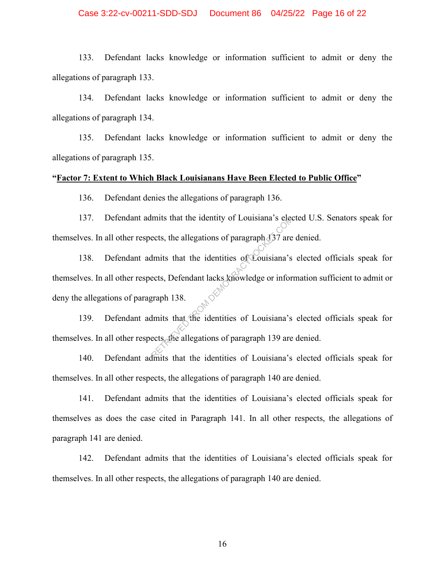## Case 3:22-cv-00211-SDD-SDJ Document 86 04/25/22 Page 16 of 22

133. Defendant lacks knowledge or information sufficient to admit or deny the allegations of paragraph 133.

134. Defendant lacks knowledge or information sufficient to admit or deny the allegations of paragraph 134.

135. Defendant lacks knowledge or information sufficient to admit or deny the allegations of paragraph 135.

#### **"Factor 7: Extent to Which Black Louisianans Have Been Elected to Public Office"**

136. Defendant denies the allegations of paragraph 136.

137. Defendant admits that the identity of Louisiana's elected U.S. Senators speak for themselves. In all other respects, the allegations of paragraph  $437$  are denied.

138. Defendant admits that the identities of Louisiana's elected officials speak for themselves. In all other respects, Defendant lacks knowledge or information sufficient to admit or deny the allegations of paragraph 138. 139. Defendant admits that the identities of Louisiana's elected officials speak for mits that the identity of Louisiana's electrics, the allegations of paragraph 137 are<br>dmits that the identities of Couisiana's<br>ects, Defendant lacks knowledge or infor<br>graph 138.<br>dmits that the identities of Louisiana's<br>ec

themselves. In all other respects, the allegations of paragraph 139 are denied.

140. Defendant admits that the identities of Louisiana's elected officials speak for themselves. In all other respects, the allegations of paragraph 140 are denied.

141. Defendant admits that the identities of Louisiana's elected officials speak for themselves as does the case cited in Paragraph 141. In all other respects, the allegations of paragraph 141 are denied.

142. Defendant admits that the identities of Louisiana's elected officials speak for themselves. In all other respects, the allegations of paragraph 140 are denied.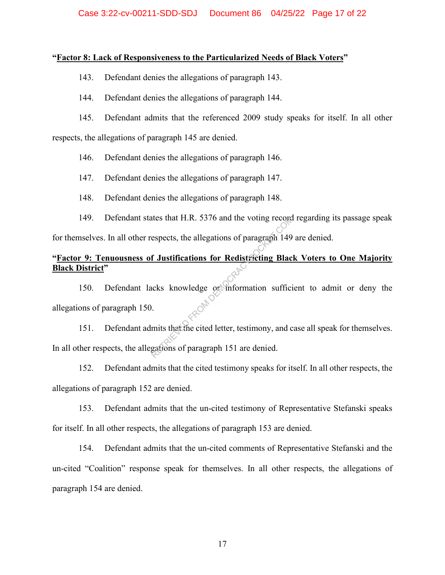## **"Factor 8: Lack of Responsiveness to the Particularized Needs of Black Voters"**

143. Defendant denies the allegations of paragraph 143.

144. Defendant denies the allegations of paragraph 144.

145. Defendant admits that the referenced 2009 study speaks for itself. In all other

respects, the allegations of paragraph 145 are denied.

146. Defendant denies the allegations of paragraph 146.

147. Defendant denies the allegations of paragraph 147.

148. Defendant denies the allegations of paragraph 148.

149. Defendant states that H.R. 5376 and the voting record regarding its passage speak

for themselves. In all other respects, the allegations of paragraph 149 are denied.

# **"Factor 9: Tenuousness of Justifications for Redistricting Black Voters to One Majority Black District"**

150. Defendant lacks knowledge or information sufficient to admit or deny the allegations of paragraph 150. The states that H.R. 3376 and the voting record<br>espects, the allegations of paragraph 149<br>**f** Justifications for Redistricting Blackets<br>knowledge or information sufficions<br>whits that the cited letter, testimony, and consis

151. Defendant admits that the cited letter, testimony, and case all speak for themselves. In all other respects, the allegations of paragraph 151 are denied.

152. Defendant admits that the cited testimony speaks for itself. In all other respects, the allegations of paragraph 152 are denied.

153. Defendant admits that the un-cited testimony of Representative Stefanski speaks for itself. In all other respects, the allegations of paragraph 153 are denied.

154. Defendant admits that the un-cited comments of Representative Stefanski and the un-cited "Coalition" response speak for themselves. In all other respects, the allegations of paragraph 154 are denied.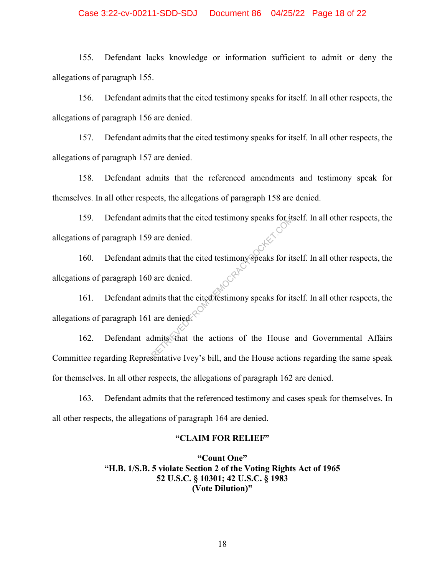## Case 3:22-cv-00211-SDD-SDJ Document 86 04/25/22 Page 18 of 22

155. Defendant lacks knowledge or information sufficient to admit or deny the allegations of paragraph 155.

156. Defendant admits that the cited testimony speaks for itself. In all other respects, the allegations of paragraph 156 are denied.

157. Defendant admits that the cited testimony speaks for itself. In all other respects, the allegations of paragraph 157 are denied.

158. Defendant admits that the referenced amendments and testimony speak for themselves. In all other respects, the allegations of paragraph 158 are denied.

159. Defendant admits that the cited testimony speaks for itself. In all other respects, the allegations of paragraph 159 are denied.

160. Defendant admits that the cited testimony speaks for itself. In all other respects, the allegations of paragraph 160 are denied. mits that the cited testimony speaks for it<br>
is that the cited testimony speaks for it<br>
is that the cited testimony speaks for it<br>
mits that the cited testimony speaks for it<br>
dmits that the actions of the House action<br>
an

161. Defendant admits that the cited testimony speaks for itself. In all other respects, the allegations of paragraph 161 are denied.

162. Defendant admits that the actions of the House and Governmental Affairs Committee regarding Representative Ivey's bill, and the House actions regarding the same speak for themselves. In all other respects, the allegations of paragraph 162 are denied.

163. Defendant admits that the referenced testimony and cases speak for themselves. In all other respects, the allegations of paragraph 164 are denied.

#### **"CLAIM FOR RELIEF"**

**"Count One" "H.B. 1/S.B. 5 violate Section 2 of the Voting Rights Act of 1965 52 U.S.C. § 10301; 42 U.S.C. § 1983 (Vote Dilution)"**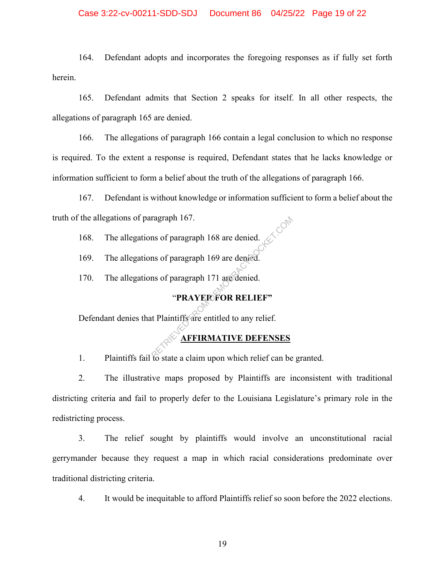## Case 3:22-cv-00211-SDD-SDJ Document 86 04/25/22 Page 19 of 22

164. Defendant adopts and incorporates the foregoing responses as if fully set forth herein.

165. Defendant admits that Section 2 speaks for itself. In all other respects, the allegations of paragraph 165 are denied.

166. The allegations of paragraph 166 contain a legal conclusion to which no response is required. To the extent a response is required, Defendant states that he lacks knowledge or information sufficient to form a belief about the truth of the allegations of paragraph 166.

167. Defendant is without knowledge or information sufficient to form a belief about the truth of the allegations of paragraph 167.

168. The allegations of paragraph 168 are denied.

169. The allegations of paragraph 169 are denied.

170. The allegations of paragraph 171 are denied.

# "**PRAYER FOR RELIEF"**

Defendant denies that Plaintiffs are entitled to any relief. ragraph 167.<br>
Ins of paragraph 169 are denied.<br>
Ins of paragraph 171 are denied.<br>
"PRAYERFOR RELIEF"<br>
It Plaintiffs are entitled to any relief.<br>
AFFIRMATIVE DEFENSES

## **AFFIRMATIVE DEFENSES**

1. Plaintiffs fail to state a claim upon which relief can be granted.

2. The illustrative maps proposed by Plaintiffs are inconsistent with traditional districting criteria and fail to properly defer to the Louisiana Legislature's primary role in the redistricting process.

3. The relief sought by plaintiffs would involve an unconstitutional racial gerrymander because they request a map in which racial considerations predominate over traditional districting criteria.

4. It would be inequitable to afford Plaintiffs relief so soon before the 2022 elections.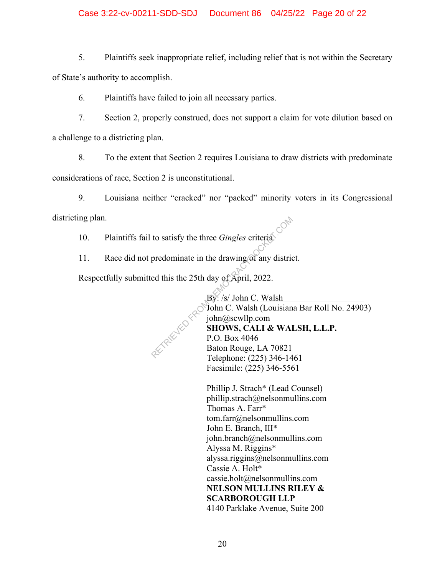## Case 3:22-cv-00211-SDD-SDJ Document 86 04/25/22 Page 20 of 22

5. Plaintiffs seek inappropriate relief, including relief that is not within the Secretary of State's authority to accomplish.

6. Plaintiffs have failed to join all necessary parties.

7. Section 2, properly construed, does not support a claim for vote dilution based on a challenge to a districting plan.

8. To the extent that Section 2 requires Louisiana to draw districts with predominate considerations of race, Section 2 is unconstitutional.

9. Louisiana neither "cracked" nor "packed" minority voters in its Congressional districting plan.

10. Plaintiffs fail to satisfy the three *Gingles* criteria.

11. Race did not predominate in the drawing of any district.

Respectfully submitted this the 25th day of April, 2022.

By: /s/ John C. Walsh John C. Walsh (Louisiana Bar Roll No. 24903) john@scwllp.com **SHOWS, CALI & WALSH, L.L.P.**  P.O. Box 4046 Baton Rouge, LA 70821 Telephone: (225) 346-1461 Facsimile: (225) 346-5561 to satisfy the three *Gingles* criteria.<br>
predominate in the drawing of any districted this the 25th day of April, 2022.<br>
By: /s/ John C. Walsh<br>
John C. Walsh (Louisian<br>
john@scwllp.com<br> **SHOWS, CALI & WAI**<br>
P.O. Box 4046

> Phillip J. Strach\* (Lead Counsel) phillip.strach@nelsonmullins.com Thomas A. Farr\* tom.farr@nelsonmullins.com John E. Branch, III\* john.branch@nelsonmullins.com Alyssa M. Riggins\* alyssa.riggins@nelsonmullins.com Cassie A. Holt\* cassie.holt@nelsonmullins.com **NELSON MULLINS RILEY & SCARBOROUGH LLP**  4140 Parklake Avenue, Suite 200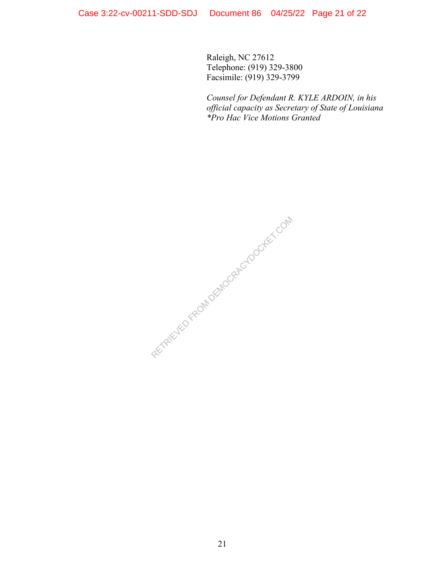Raleigh, NC 27612 Telephone: (919) 329-3800 Facsimile: (919) 329-3799

*Counsel for Defendant R. KYLE ARDOIN, in his official capacity as Secretary of State of Louisiana \*Pro Hac Vice Motions Granted*

RECTRICITED FROM DEMOCRACY DOCKET.COM